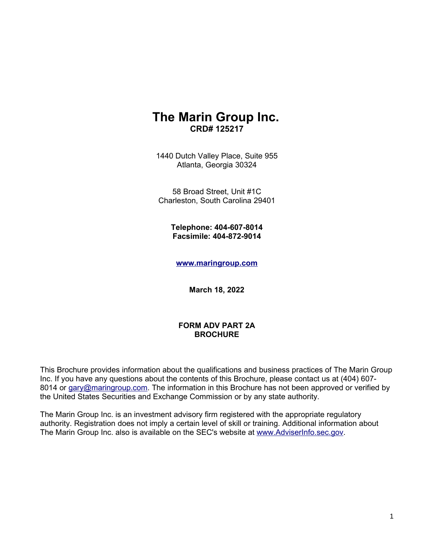## **The Marin Group Inc. CRD# 125217**

1440 Dutch Valley Place, Suite 955 Atlanta, Georgia 30324

58 Broad Street, Unit #1C Charleston, South Carolina 29401

> **Telephone: 404-607-8014 Facsimile: 404-872-9014**

**[www.maringroup.com](http://www.maringroup.com/)**

**March 18, 2022**

#### **FORM ADV PART 2A BROCHURE**

This Brochure provides information about the qualifications and business practices of The Marin Group Inc. If you have any questions about the contents of this Brochure, please contact us at (404) 607 8014 or [gary@maringroup.com.](mailto:gary@maringroup.com) The information in this Brochure has not been approved or verified by the United States Securities and Exchange Commission or by any state authority.

The Marin Group Inc. is an investment advisory firm registered with the appropriate regulatory authority. Registration does not imply a certain level of skill or training. Additional information about The Marin Group Inc. also is available on the SEC's website at [www.AdviserInfo.sec.gov.](http://www.AdviserInfo.sec.gov/)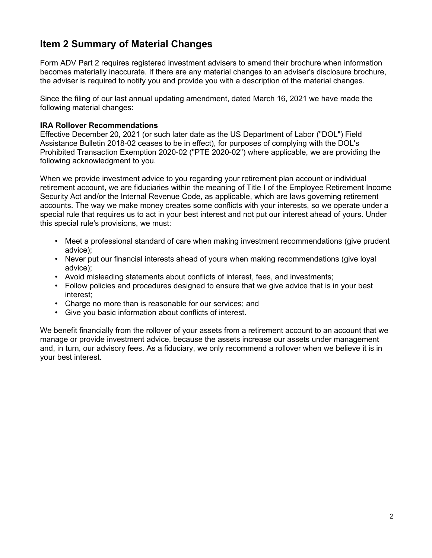## **Item 2 Summary of Material Changes**

Form ADV Part 2 requires registered investment advisers to amend their brochure when information becomes materially inaccurate. If there are any material changes to an adviser's disclosure brochure, the adviser is required to notify you and provide you with a description of the material changes.

Since the filing of our last annual updating amendment, dated March 16, 2021 we have made the following material changes:

#### **IRA Rollover Recommendations**

Effective December 20, 2021 (or such later date as the US Department of Labor ("DOL") Field Assistance Bulletin 2018-02 ceases to be in effect), for purposes of complying with the DOL's Prohibited Transaction Exemption 2020-02 ("PTE 2020-02") where applicable, we are providing the following acknowledgment to you.

When we provide investment advice to you regarding your retirement plan account or individual retirement account, we are fiduciaries within the meaning of Title I of the Employee Retirement Income Security Act and/or the Internal Revenue Code, as applicable, which are laws governing retirement accounts. The way we make money creates some conflicts with your interests, so we operate under a special rule that requires us to act in your best interest and not put our interest ahead of yours. Under this special rule's provisions, we must:

- Meet a professional standard of care when making investment recommendations (give prudent advice);
- Never put our financial interests ahead of yours when making recommendations (give loyal advice);
- Avoid misleading statements about conflicts of interest, fees, and investments;
- Follow policies and procedures designed to ensure that we give advice that is in your best interest;
- Charge no more than is reasonable for our services; and
- Give you basic information about conflicts of interest.

We benefit financially from the rollover of your assets from a retirement account to an account that we manage or provide investment advice, because the assets increase our assets under management and, in turn, our advisory fees. As a fiduciary, we only recommend a rollover when we believe it is in your best interest.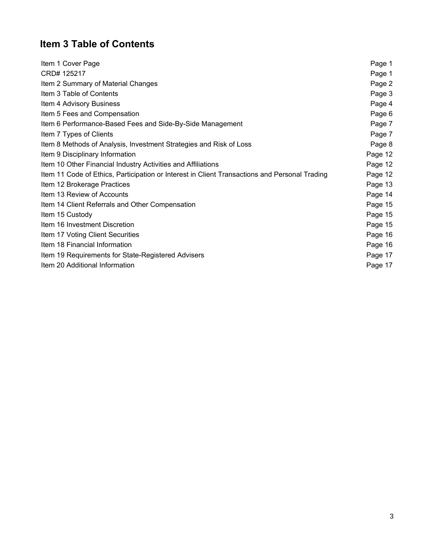# **Item 3 Table of Contents**

| Item 1 Cover Page                                                                             | Page 1  |
|-----------------------------------------------------------------------------------------------|---------|
| CRD# 125217                                                                                   | Page 1  |
| Item 2 Summary of Material Changes                                                            | Page 2  |
| Item 3 Table of Contents                                                                      | Page 3  |
| Item 4 Advisory Business                                                                      | Page 4  |
| Item 5 Fees and Compensation                                                                  | Page 6  |
| Item 6 Performance-Based Fees and Side-By-Side Management                                     | Page 7  |
| Item 7 Types of Clients                                                                       | Page 7  |
| Item 8 Methods of Analysis, Investment Strategies and Risk of Loss                            | Page 8  |
| Item 9 Disciplinary Information                                                               | Page 12 |
| Item 10 Other Financial Industry Activities and Affiliations                                  | Page 12 |
| Item 11 Code of Ethics, Participation or Interest in Client Transactions and Personal Trading | Page 12 |
| Item 12 Brokerage Practices                                                                   | Page 13 |
| Item 13 Review of Accounts                                                                    | Page 14 |
| Item 14 Client Referrals and Other Compensation                                               | Page 15 |
| Item 15 Custody                                                                               | Page 15 |
| Item 16 Investment Discretion                                                                 | Page 15 |
| Item 17 Voting Client Securities                                                              | Page 16 |
| Item 18 Financial Information                                                                 | Page 16 |
| Item 19 Requirements for State-Registered Advisers                                            | Page 17 |
| Item 20 Additional Information                                                                | Page 17 |
|                                                                                               |         |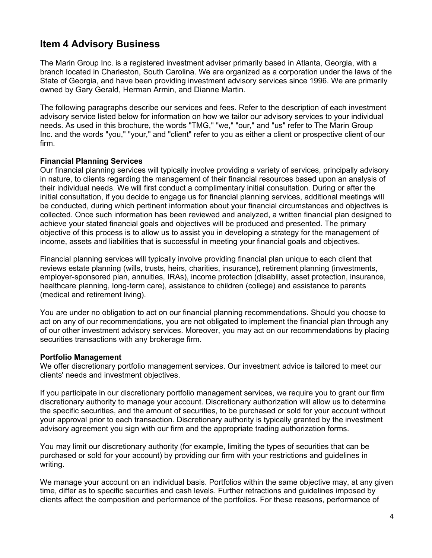## **Item 4 Advisory Business**

The Marin Group Inc. is a registered investment adviser primarily based in Atlanta, Georgia, with a branch located in Charleston, South Carolina. We are organized as a corporation under the laws of the State of Georgia, and have been providing investment advisory services since 1996. We are primarily owned by Gary Gerald, Herman Armin, and Dianne Martin.

The following paragraphs describe our services and fees. Refer to the description of each investment advisory service listed below for information on how we tailor our advisory services to your individual needs. As used in this brochure, the words "TMG," "we," "our," and "us" refer to The Marin Group Inc. and the words "you," "your," and "client" refer to you as either a client or prospective client of our firm.

#### **Financial Planning Services**

Our financial planning services will typically involve providing a variety of services, principally advisory in nature, to clients regarding the management of their financial resources based upon an analysis of their individual needs. We will first conduct a complimentary initial consultation. During or after the initial consultation, if you decide to engage us for financial planning services, additional meetings will be conducted, during which pertinent information about your financial circumstances and objectives is collected. Once such information has been reviewed and analyzed, a written financial plan designed to achieve your stated financial goals and objectives will be produced and presented. The primary objective of this process is to allow us to assist you in developing a strategy for the management of income, assets and liabilities that is successful in meeting your financial goals and objectives.

Financial planning services will typically involve providing financial plan unique to each client that reviews estate planning (wills, trusts, heirs, charities, insurance), retirement planning (investments, employer-sponsored plan, annuities, IRAs), income protection (disability, asset protection, insurance, healthcare planning, long-term care), assistance to children (college) and assistance to parents (medical and retirement living).

You are under no obligation to act on our financial planning recommendations. Should you choose to act on any of our recommendations, you are not obligated to implement the financial plan through any of our other investment advisory services. Moreover, you may act on our recommendations by placing securities transactions with any brokerage firm.

#### **Portfolio Management**

We offer discretionary portfolio management services. Our investment advice is tailored to meet our clients' needs and investment objectives.

If you participate in our discretionary portfolio management services, we require you to grant our firm discretionary authority to manage your account. Discretionary authorization will allow us to determine the specific securities, and the amount of securities, to be purchased or sold for your account without your approval prior to each transaction. Discretionary authority is typically granted by the investment advisory agreement you sign with our firm and the appropriate trading authorization forms.

You may limit our discretionary authority (for example, limiting the types of securities that can be purchased or sold for your account) by providing our firm with your restrictions and guidelines in writing.

We manage your account on an individual basis. Portfolios within the same objective may, at any given time, differ as to specific securities and cash levels. Further retractions and guidelines imposed by clients affect the composition and performance of the portfolios. For these reasons, performance of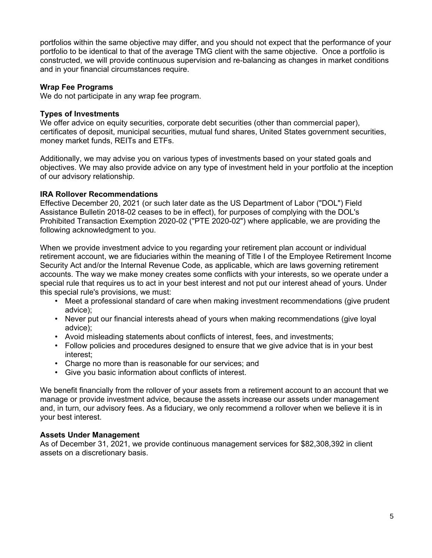portfolios within the same objective may differ, and you should not expect that the performance of your portfolio to be identical to that of the average TMG client with the same objective. Once a portfolio is constructed, we will provide continuous supervision and re-balancing as changes in market conditions and in your financial circumstances require.

#### **Wrap Fee Programs**

We do not participate in any wrap fee program.

#### **Types of Investments**

We offer advice on equity securities, corporate debt securities (other than commercial paper), certificates of deposit, municipal securities, mutual fund shares, United States government securities, money market funds, REITs and ETFs.

Additionally, we may advise you on various types of investments based on your stated goals and objectives. We may also provide advice on any type of investment held in your portfolio at the inception of our advisory relationship.

#### **IRA Rollover Recommendations**

Effective December 20, 2021 (or such later date as the US Department of Labor ("DOL") Field Assistance Bulletin 2018-02 ceases to be in effect), for purposes of complying with the DOL's Prohibited Transaction Exemption 2020-02 ("PTE 2020-02") where applicable, we are providing the following acknowledgment to you.

When we provide investment advice to you regarding your retirement plan account or individual retirement account, we are fiduciaries within the meaning of Title I of the Employee Retirement Income Security Act and/or the Internal Revenue Code, as applicable, which are laws governing retirement accounts. The way we make money creates some conflicts with your interests, so we operate under a special rule that requires us to act in your best interest and not put our interest ahead of yours. Under this special rule's provisions, we must:

- Meet a professional standard of care when making investment recommendations (give prudent advice);
- Never put our financial interests ahead of yours when making recommendations (give loyal advice);
- Avoid misleading statements about conflicts of interest, fees, and investments;
- Follow policies and procedures designed to ensure that we give advice that is in your best interest;
- Charge no more than is reasonable for our services; and
- Give you basic information about conflicts of interest.

We benefit financially from the rollover of your assets from a retirement account to an account that we manage or provide investment advice, because the assets increase our assets under management and, in turn, our advisory fees. As a fiduciary, we only recommend a rollover when we believe it is in your best interest.

#### **Assets Under Management**

As of December 31, 2021, we provide continuous management services for \$82,308,392 in client assets on a discretionary basis.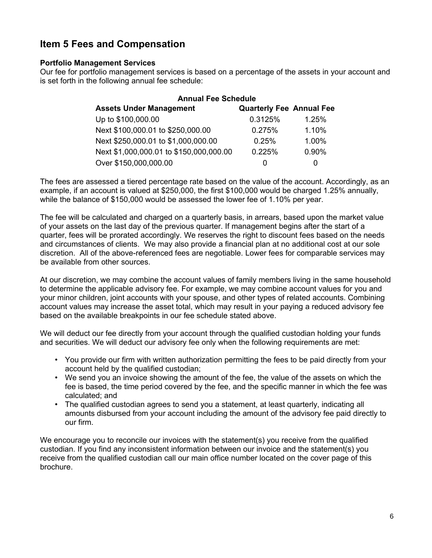## **Item 5 Fees and Compensation**

#### **Portfolio Management Services**

Our fee for portfolio management services is based on a percentage of the assets in your account and is set forth in the following annual fee schedule:

| <b>Annual Fee Schedule</b>              |                                 |              |  |
|-----------------------------------------|---------------------------------|--------------|--|
| <b>Assets Under Management</b>          | <b>Quarterly Fee Annual Fee</b> |              |  |
| Up to \$100,000.00                      | 0.3125%                         | 1.25%        |  |
| Next \$100,000.01 to \$250,000.00       | 0.275%                          | 1.10%        |  |
| Next \$250,000.01 to \$1,000,000.00     | 0.25%                           | 1.00%        |  |
| Next \$1,000,000.01 to \$150,000,000.00 | 0.225%                          | 0.90%        |  |
| Over \$150,000,000.00                   | O                               | $\mathbf{0}$ |  |

The fees are assessed a tiered percentage rate based on the value of the account. Accordingly, as an example, if an account is valued at \$250,000, the first \$100,000 would be charged 1.25% annually, while the balance of \$150,000 would be assessed the lower fee of 1.10% per year.

The fee will be calculated and charged on a quarterly basis, in arrears, based upon the market value of your assets on the last day of the previous quarter. If management begins after the start of a quarter, fees will be prorated accordingly. We reserves the right to discount fees based on the needs and circumstances of clients. We may also provide a financial plan at no additional cost at our sole discretion. All of the above-referenced fees are negotiable. Lower fees for comparable services may be available from other sources.

At our discretion, we may combine the account values of family members living in the same household to determine the applicable advisory fee. For example, we may combine account values for you and your minor children, joint accounts with your spouse, and other types of related accounts. Combining account values may increase the asset total, which may result in your paying a reduced advisory fee based on the available breakpoints in our fee schedule stated above.

We will deduct our fee directly from your account through the qualified custodian holding your funds and securities. We will deduct our advisory fee only when the following requirements are met:

- You provide our firm with written authorization permitting the fees to be paid directly from your account held by the qualified custodian;
- We send you an invoice showing the amount of the fee, the value of the assets on which the fee is based, the time period covered by the fee, and the specific manner in which the fee was calculated; and
- The qualified custodian agrees to send you a statement, at least quarterly, indicating all amounts disbursed from your account including the amount of the advisory fee paid directly to our firm.

We encourage you to reconcile our invoices with the statement(s) you receive from the qualified custodian. If you find any inconsistent information between our invoice and the statement(s) you receive from the qualified custodian call our main office number located on the cover page of this brochure.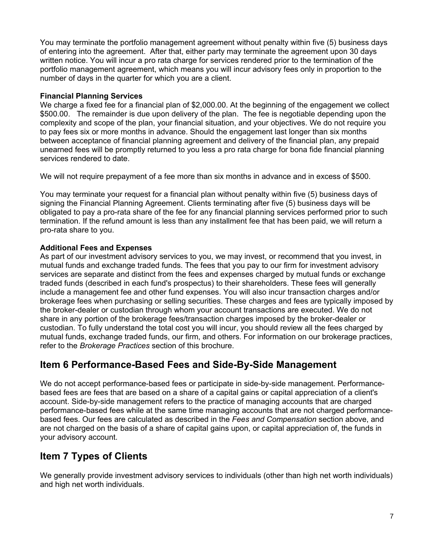You may terminate the portfolio management agreement without penalty within five (5) business days of entering into the agreement. After that, either party may terminate the agreement upon 30 days written notice. You will incur a pro rata charge for services rendered prior to the termination of the portfolio management agreement, which means you will incur advisory fees only in proportion to the number of days in the quarter for which you are a client.

#### **Financial Planning Services**

We charge a fixed fee for a financial plan of \$2,000.00. At the beginning of the engagement we collect \$500.00. The remainder is due upon delivery of the plan. The fee is negotiable depending upon the complexity and scope of the plan, your financial situation, and your objectives. We do not require you to pay fees six or more months in advance. Should the engagement last longer than six months between acceptance of financial planning agreement and delivery of the financial plan, any prepaid unearned fees will be promptly returned to you less a pro rata charge for bona fide financial planning services rendered to date.

We will not require prepayment of a fee more than six months in advance and in excess of \$500.

You may terminate your request for a financial plan without penalty within five (5) business days of signing the Financial Planning Agreement. Clients terminating after five (5) business days will be obligated to pay a pro-rata share of the fee for any financial planning services performed prior to such termination. If the refund amount is less than any installment fee that has been paid, we will return a pro-rata share to you.

#### **Additional Fees and Expenses**

As part of our investment advisory services to you, we may invest, or recommend that you invest, in mutual funds and exchange traded funds. The fees that you pay to our firm for investment advisory services are separate and distinct from the fees and expenses charged by mutual funds or exchange traded funds (described in each fund's prospectus) to their shareholders. These fees will generally include a management fee and other fund expenses. You will also incur transaction charges and/or brokerage fees when purchasing or selling securities. These charges and fees are typically imposed by the broker-dealer or custodian through whom your account transactions are executed. We do not share in any portion of the brokerage fees/transaction charges imposed by the broker-dealer or custodian. To fully understand the total cost you will incur, you should review all the fees charged by mutual funds, exchange traded funds, our firm, and others. For information on our brokerage practices, refer to the *Brokerage Practices* section of this brochure.

## **Item 6 Performance-Based Fees and Side-By-Side Management**

We do not accept performance-based fees or participate in side-by-side management. Performancebased fees are fees that are based on a share of a capital gains or capital appreciation of a client's account. Side-by-side management refers to the practice of managing accounts that are charged performance-based fees while at the same time managing accounts that are not charged performancebased fees. Our fees are calculated as described in the *Fees and Compensation* section above, and are not charged on the basis of a share of capital gains upon, or capital appreciation of, the funds in your advisory account.

## **Item 7 Types of Clients**

We generally provide investment advisory services to individuals (other than high net worth individuals) and high net worth individuals.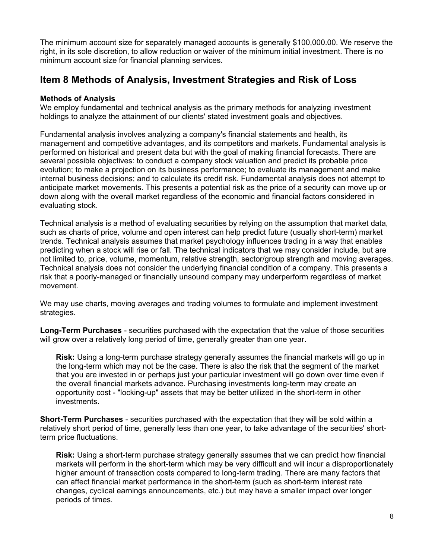The minimum account size for separately managed accounts is generally \$100,000.00. We reserve the right, in its sole discretion, to allow reduction or waiver of the minimum initial investment. There is no minimum account size for financial planning services.

### **Item 8 Methods of Analysis, Investment Strategies and Risk of Loss**

#### **Methods of Analysis**

We employ fundamental and technical analysis as the primary methods for analyzing investment holdings to analyze the attainment of our clients' stated investment goals and objectives.

Fundamental analysis involves analyzing a company's financial statements and health, its management and competitive advantages, and its competitors and markets. Fundamental analysis is performed on historical and present data but with the goal of making financial forecasts. There are several possible objectives: to conduct a company stock valuation and predict its probable price evolution; to make a projection on its business performance; to evaluate its management and make internal business decisions; and to calculate its credit risk. Fundamental analysis does not attempt to anticipate market movements. This presents a potential risk as the price of a security can move up or down along with the overall market regardless of the economic and financial factors considered in evaluating stock.

Technical analysis is a method of evaluating securities by relying on the assumption that market data, such as charts of price, volume and open interest can help predict future (usually short-term) market trends. Technical analysis assumes that market psychology influences trading in a way that enables predicting when a stock will rise or fall. The technical indicators that we may consider include, but are not limited to, price, volume, momentum, relative strength, sector/group strength and moving averages. Technical analysis does not consider the underlying financial condition of a company. This presents a risk that a poorly-managed or financially unsound company may underperform regardless of market movement.

We may use charts, moving averages and trading volumes to formulate and implement investment strategies.

**Long-Term Purchases** - securities purchased with the expectation that the value of those securities will grow over a relatively long period of time, generally greater than one year.

**Risk:** Using a long-term purchase strategy generally assumes the financial markets will go up in the long-term which may not be the case. There is also the risk that the segment of the market that you are invested in or perhaps just your particular investment will go down over time even if the overall financial markets advance. Purchasing investments long-term may create an opportunity cost - "locking-up" assets that may be better utilized in the short-term in other investments.

**Short-Term Purchases** - securities purchased with the expectation that they will be sold within a relatively short period of time, generally less than one year, to take advantage of the securities' shortterm price fluctuations.

**Risk:** Using a short-term purchase strategy generally assumes that we can predict how financial markets will perform in the short-term which may be very difficult and will incur a disproportionately higher amount of transaction costs compared to long-term trading. There are many factors that can affect financial market performance in the short-term (such as short-term interest rate changes, cyclical earnings announcements, etc.) but may have a smaller impact over longer periods of times.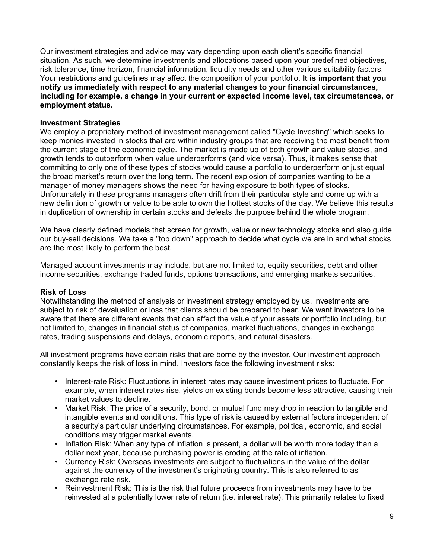Our investment strategies and advice may vary depending upon each client's specific financial situation. As such, we determine investments and allocations based upon your predefined objectives, risk tolerance, time horizon, financial information, liquidity needs and other various suitability factors. Your restrictions and guidelines may affect the composition of your portfolio. **It is important that you notify us immediately with respect to any material changes to your financial circumstances, including for example, a change in your current or expected income level, tax circumstances, or employment status.**

#### **Investment Strategies**

We employ a proprietary method of investment management called "Cycle Investing" which seeks to keep monies invested in stocks that are within industry groups that are receiving the most benefit from the current stage of the economic cycle. The market is made up of both growth and value stocks, and growth tends to outperform when value underperforms (and vice versa). Thus, it makes sense that committing to only one of these types of stocks would cause a portfolio to underperform or just equal the broad market's return over the long term. The recent explosion of companies wanting to be a manager of money managers shows the need for having exposure to both types of stocks. Unfortunately in these programs managers often drift from their particular style and come up with a new definition of growth or value to be able to own the hottest stocks of the day. We believe this results in duplication of ownership in certain stocks and defeats the purpose behind the whole program.

We have clearly defined models that screen for growth, value or new technology stocks and also guide our buy-sell decisions. We take a "top down" approach to decide what cycle we are in and what stocks are the most likely to perform the best.

Managed account investments may include, but are not limited to, equity securities, debt and other income securities, exchange traded funds, options transactions, and emerging markets securities.

#### **Risk of Loss**

Notwithstanding the method of analysis or investment strategy employed by us, investments are subject to risk of devaluation or loss that clients should be prepared to bear. We want investors to be aware that there are different events that can affect the value of your assets or portfolio including, but not limited to, changes in financial status of companies, market fluctuations, changes in exchange rates, trading suspensions and delays, economic reports, and natural disasters.

All investment programs have certain risks that are borne by the investor. Our investment approach constantly keeps the risk of loss in mind. Investors face the following investment risks:

- Interest-rate Risk: Fluctuations in interest rates may cause investment prices to fluctuate. For example, when interest rates rise, yields on existing bonds become less attractive, causing their market values to decline.
- Market Risk: The price of a security, bond, or mutual fund may drop in reaction to tangible and intangible events and conditions. This type of risk is caused by external factors independent of a security's particular underlying circumstances. For example, political, economic, and social conditions may trigger market events.
- Inflation Risk: When any type of inflation is present, a dollar will be worth more today than a dollar next year, because purchasing power is eroding at the rate of inflation.
- Currency Risk: Overseas investments are subject to fluctuations in the value of the dollar against the currency of the investment's originating country. This is also referred to as exchange rate risk.
- Reinvestment Risk: This is the risk that future proceeds from investments may have to be reinvested at a potentially lower rate of return (i.e. interest rate). This primarily relates to fixed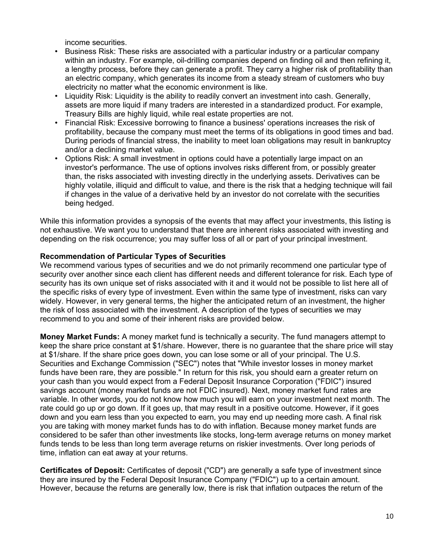income securities.

- Business Risk: These risks are associated with a particular industry or a particular company within an industry. For example, oil-drilling companies depend on finding oil and then refining it, a lengthy process, before they can generate a profit. They carry a higher risk of profitability than an electric company, which generates its income from a steady stream of customers who buy electricity no matter what the economic environment is like.
- Liquidity Risk: Liquidity is the ability to readily convert an investment into cash. Generally, assets are more liquid if many traders are interested in a standardized product. For example, Treasury Bills are highly liquid, while real estate properties are not.
- Financial Risk: Excessive borrowing to finance a business' operations increases the risk of profitability, because the company must meet the terms of its obligations in good times and bad. During periods of financial stress, the inability to meet loan obligations may result in bankruptcy and/or a declining market value.
- Options Risk: A small investment in options could have a potentially large impact on an investor's performance. The use of options involves risks different from, or possibly greater than, the risks associated with investing directly in the underlying assets. Derivatives can be highly volatile, illiquid and difficult to value, and there is the risk that a hedging technique will fail if changes in the value of a derivative held by an investor do not correlate with the securities being hedged.

While this information provides a synopsis of the events that may affect your investments, this listing is not exhaustive. We want you to understand that there are inherent risks associated with investing and depending on the risk occurrence; you may suffer loss of all or part of your principal investment.

#### **Recommendation of Particular Types of Securities**

We recommend various types of securities and we do not primarily recommend one particular type of security over another since each client has different needs and different tolerance for risk. Each type of security has its own unique set of risks associated with it and it would not be possible to list here all of the specific risks of every type of investment. Even within the same type of investment, risks can vary widely. However, in very general terms, the higher the anticipated return of an investment, the higher the risk of loss associated with the investment. A description of the types of securities we may recommend to you and some of their inherent risks are provided below.

**Money Market Funds:** A money market fund is technically a security. The fund managers attempt to keep the share price constant at \$1/share. However, there is no guarantee that the share price will stay at \$1/share. If the share price goes down, you can lose some or all of your principal. The U.S. Securities and Exchange Commission ("SEC") notes that "While investor losses in money market funds have been rare, they are possible." In return for this risk, you should earn a greater return on your cash than you would expect from a Federal Deposit Insurance Corporation ("FDIC") insured savings account (money market funds are not FDIC insured). Next, money market fund rates are variable. In other words, you do not know how much you will earn on your investment next month. The rate could go up or go down. If it goes up, that may result in a positive outcome. However, if it goes down and you earn less than you expected to earn, you may end up needing more cash. A final risk you are taking with money market funds has to do with inflation. Because money market funds are considered to be safer than other investments like stocks, long-term average returns on money market funds tends to be less than long term average returns on riskier investments. Over long periods of time, inflation can eat away at your returns.

**Certificates of Deposit:** Certificates of deposit ("CD") are generally a safe type of investment since they are insured by the Federal Deposit Insurance Company ("FDIC") up to a certain amount. However, because the returns are generally low, there is risk that inflation outpaces the return of the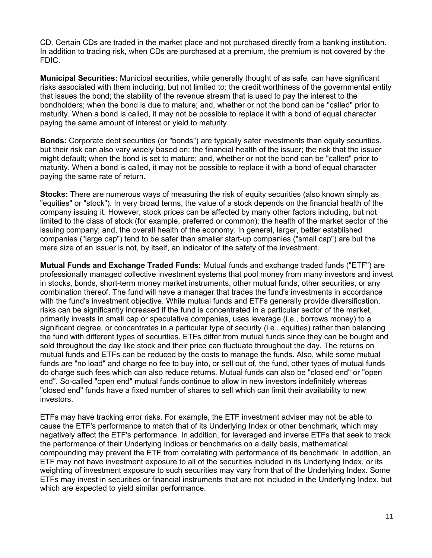CD. Certain CDs are traded in the market place and not purchased directly from a banking institution. In addition to trading risk, when CDs are purchased at a premium, the premium is not covered by the FDIC.

**Municipal Securities:** Municipal securities, while generally thought of as safe, can have significant risks associated with them including, but not limited to: the credit worthiness of the governmental entity that issues the bond; the stability of the revenue stream that is used to pay the interest to the bondholders; when the bond is due to mature; and, whether or not the bond can be "called" prior to maturity. When a bond is called, it may not be possible to replace it with a bond of equal character paying the same amount of interest or yield to maturity.

**Bonds:** Corporate debt securities (or "bonds") are typically safer investments than equity securities, but their risk can also vary widely based on: the financial health of the issuer; the risk that the issuer might default; when the bond is set to mature; and, whether or not the bond can be "called" prior to maturity. When a bond is called, it may not be possible to replace it with a bond of equal character paying the same rate of return.

**Stocks:** There are numerous ways of measuring the risk of equity securities (also known simply as "equities" or "stock"). In very broad terms, the value of a stock depends on the financial health of the company issuing it. However, stock prices can be affected by many other factors including, but not limited to the class of stock (for example, preferred or common); the health of the market sector of the issuing company; and, the overall health of the economy. In general, larger, better established companies ("large cap") tend to be safer than smaller start-up companies ("small cap") are but the mere size of an issuer is not, by itself, an indicator of the safety of the investment.

**Mutual Funds and Exchange Traded Funds:** Mutual funds and exchange traded funds ("ETF") are professionally managed collective investment systems that pool money from many investors and invest in stocks, bonds, short-term money market instruments, other mutual funds, other securities, or any combination thereof. The fund will have a manager that trades the fund's investments in accordance with the fund's investment objective. While mutual funds and ETFs generally provide diversification, risks can be significantly increased if the fund is concentrated in a particular sector of the market, primarily invests in small cap or speculative companies, uses leverage (i.e., borrows money) to a significant degree, or concentrates in a particular type of security (i.e., equities) rather than balancing the fund with different types of securities. ETFs differ from mutual funds since they can be bought and sold throughout the day like stock and their price can fluctuate throughout the day. The returns on mutual funds and ETFs can be reduced by the costs to manage the funds. Also, while some mutual funds are "no load" and charge no fee to buy into, or sell out of, the fund, other types of mutual funds do charge such fees which can also reduce returns. Mutual funds can also be "closed end" or "open end". So-called "open end" mutual funds continue to allow in new investors indefinitely whereas "closed end" funds have a fixed number of shares to sell which can limit their availability to new investors.

ETFs may have tracking error risks. For example, the ETF investment adviser may not be able to cause the ETF's performance to match that of its Underlying Index or other benchmark, which may negatively affect the ETF's performance. In addition, for leveraged and inverse ETFs that seek to track the performance of their Underlying Indices or benchmarks on a daily basis, mathematical compounding may prevent the ETF from correlating with performance of its benchmark. In addition, an ETF may not have investment exposure to all of the securities included in its Underlying Index, or its weighting of investment exposure to such securities may vary from that of the Underlying Index. Some ETFs may invest in securities or financial instruments that are not included in the Underlying Index, but which are expected to yield similar performance.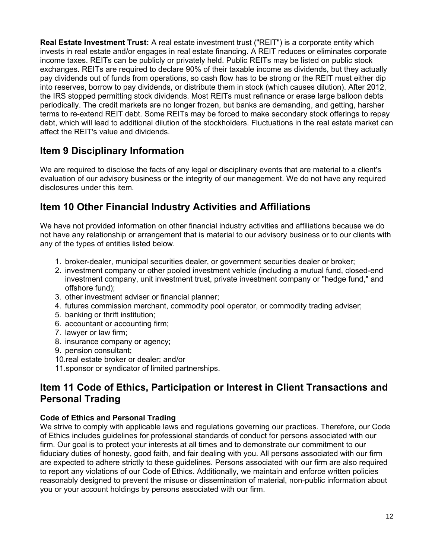**Real Estate Investment Trust:** A real estate investment trust ("REIT") is a corporate entity which invests in real estate and/or engages in real estate financing. A REIT reduces or eliminates corporate income taxes. REITs can be publicly or privately held. Public REITs may be listed on public stock exchanges. REITs are required to declare 90% of their taxable income as dividends, but they actually pay dividends out of funds from operations, so cash flow has to be strong or the REIT must either dip into reserves, borrow to pay dividends, or distribute them in stock (which causes dilution). After 2012, the IRS stopped permitting stock dividends. Most REITs must refinance or erase large balloon debts periodically. The credit markets are no longer frozen, but banks are demanding, and getting, harsher terms to re-extend REIT debt. Some REITs may be forced to make secondary stock offerings to repay debt, which will lead to additional dilution of the stockholders. Fluctuations in the real estate market can affect the REIT's value and dividends.

## **Item 9 Disciplinary Information**

We are required to disclose the facts of any legal or disciplinary events that are material to a client's evaluation of our advisory business or the integrity of our management. We do not have any required disclosures under this item.

## **Item 10 Other Financial Industry Activities and Affiliations**

We have not provided information on other financial industry activities and affiliations because we do not have any relationship or arrangement that is material to our advisory business or to our clients with any of the types of entities listed below.

- 1. broker-dealer, municipal securities dealer, or government securities dealer or broker;
- 2. investment company or other pooled investment vehicle (including a mutual fund, closed-end investment company, unit investment trust, private investment company or "hedge fund," and offshore fund);
- 3. other investment adviser or financial planner;
- 4. futures commission merchant, commodity pool operator, or commodity trading adviser;
- 5. banking or thrift institution;
- 6. accountant or accounting firm;
- 7. lawyer or law firm;
- 8. insurance company or agency;
- 9. pension consultant;
- 10.real estate broker or dealer; and/or
- 11.sponsor or syndicator of limited partnerships.

## **Item 11 Code of Ethics, Participation or Interest in Client Transactions and Personal Trading**

#### **Code of Ethics and Personal Trading**

We strive to comply with applicable laws and regulations governing our practices. Therefore, our Code of Ethics includes guidelines for professional standards of conduct for persons associated with our firm. Our goal is to protect your interests at all times and to demonstrate our commitment to our fiduciary duties of honesty, good faith, and fair dealing with you. All persons associated with our firm are expected to adhere strictly to these guidelines. Persons associated with our firm are also required to report any violations of our Code of Ethics. Additionally, we maintain and enforce written policies reasonably designed to prevent the misuse or dissemination of material, non-public information about you or your account holdings by persons associated with our firm.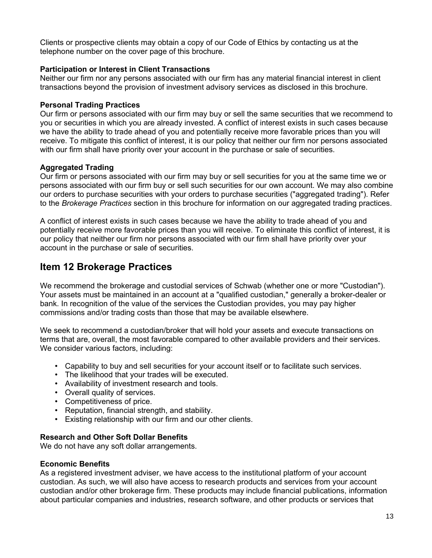Clients or prospective clients may obtain a copy of our Code of Ethics by contacting us at the telephone number on the cover page of this brochure.

#### **Participation or Interest in Client Transactions**

Neither our firm nor any persons associated with our firm has any material financial interest in client transactions beyond the provision of investment advisory services as disclosed in this brochure.

#### **Personal Trading Practices**

Our firm or persons associated with our firm may buy or sell the same securities that we recommend to you or securities in which you are already invested. A conflict of interest exists in such cases because we have the ability to trade ahead of you and potentially receive more favorable prices than you will receive. To mitigate this conflict of interest, it is our policy that neither our firm nor persons associated with our firm shall have priority over your account in the purchase or sale of securities.

#### **Aggregated Trading**

Our firm or persons associated with our firm may buy or sell securities for you at the same time we or persons associated with our firm buy or sell such securities for our own account. We may also combine our orders to purchase securities with your orders to purchase securities ("aggregated trading"). Refer to the *Brokerage Practices* section in this brochure for information on our aggregated trading practices.

A conflict of interest exists in such cases because we have the ability to trade ahead of you and potentially receive more favorable prices than you will receive. To eliminate this conflict of interest, it is our policy that neither our firm nor persons associated with our firm shall have priority over your account in the purchase or sale of securities.

### **Item 12 Brokerage Practices**

We recommend the brokerage and custodial services of Schwab (whether one or more "Custodian"). Your assets must be maintained in an account at a "qualified custodian," generally a broker-dealer or bank. In recognition of the value of the services the Custodian provides, you may pay higher commissions and/or trading costs than those that may be available elsewhere.

We seek to recommend a custodian/broker that will hold your assets and execute transactions on terms that are, overall, the most favorable compared to other available providers and their services. We consider various factors, including:

- Capability to buy and sell securities for your account itself or to facilitate such services.
- The likelihood that your trades will be executed.
- Availability of investment research and tools.
- Overall quality of services.
- Competitiveness of price.
- Reputation, financial strength, and stability.
- Existing relationship with our firm and our other clients.

#### **Research and Other Soft Dollar Benefits**

We do not have any soft dollar arrangements.

#### **Economic Benefits**

As a registered investment adviser, we have access to the institutional platform of your account custodian. As such, we will also have access to research products and services from your account custodian and/or other brokerage firm. These products may include financial publications, information about particular companies and industries, research software, and other products or services that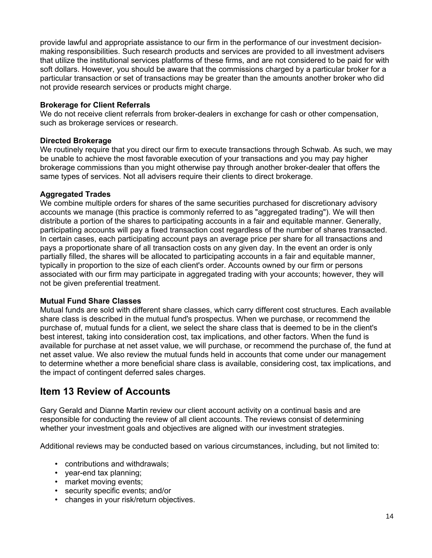provide lawful and appropriate assistance to our firm in the performance of our investment decisionmaking responsibilities. Such research products and services are provided to all investment advisers that utilize the institutional services platforms of these firms, and are not considered to be paid for with soft dollars. However, you should be aware that the commissions charged by a particular broker for a particular transaction or set of transactions may be greater than the amounts another broker who did not provide research services or products might charge.

#### **Brokerage for Client Referrals**

We do not receive client referrals from broker-dealers in exchange for cash or other compensation, such as brokerage services or research.

#### **Directed Brokerage**

We routinely require that you direct our firm to execute transactions through Schwab. As such, we may be unable to achieve the most favorable execution of your transactions and you may pay higher brokerage commissions than you might otherwise pay through another broker-dealer that offers the same types of services. Not all advisers require their clients to direct brokerage.

#### **Aggregated Trades**

We combine multiple orders for shares of the same securities purchased for discretionary advisory accounts we manage (this practice is commonly referred to as "aggregated trading"). We will then distribute a portion of the shares to participating accounts in a fair and equitable manner. Generally, participating accounts will pay a fixed transaction cost regardless of the number of shares transacted. In certain cases, each participating account pays an average price per share for all transactions and pays a proportionate share of all transaction costs on any given day. In the event an order is only partially filled, the shares will be allocated to participating accounts in a fair and equitable manner, typically in proportion to the size of each client's order. Accounts owned by our firm or persons associated with our firm may participate in aggregated trading with your accounts; however, they will not be given preferential treatment.

#### **Mutual Fund Share Classes**

Mutual funds are sold with different share classes, which carry different cost structures. Each available share class is described in the mutual fund's prospectus. When we purchase, or recommend the purchase of, mutual funds for a client, we select the share class that is deemed to be in the client's best interest, taking into consideration cost, tax implications, and other factors. When the fund is available for purchase at net asset value, we will purchase, or recommend the purchase of, the fund at net asset value. We also review the mutual funds held in accounts that come under our management to determine whether a more beneficial share class is available, considering cost, tax implications, and the impact of contingent deferred sales charges.

### **Item 13 Review of Accounts**

Gary Gerald and Dianne Martin review our client account activity on a continual basis and are responsible for conducting the review of all client accounts. The reviews consist of determining whether your investment goals and objectives are aligned with our investment strategies.

Additional reviews may be conducted based on various circumstances, including, but not limited to:

- contributions and withdrawals;
- year-end tax planning;
- market moving events:
- security specific events; and/or
- changes in your risk/return objectives.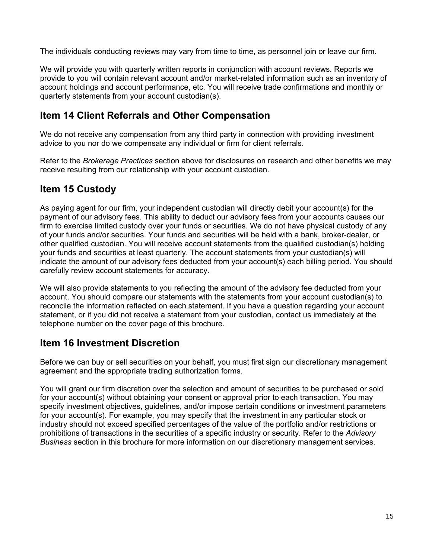The individuals conducting reviews may vary from time to time, as personnel join or leave our firm.

We will provide you with quarterly written reports in conjunction with account reviews. Reports we provide to you will contain relevant account and/or market-related information such as an inventory of account holdings and account performance, etc. You will receive trade confirmations and monthly or quarterly statements from your account custodian(s).

## **Item 14 Client Referrals and Other Compensation**

We do not receive any compensation from any third party in connection with providing investment advice to you nor do we compensate any individual or firm for client referrals.

Refer to the *Brokerage Practices* section above for disclosures on research and other benefits we may receive resulting from our relationship with your account custodian.

## **Item 15 Custody**

As paying agent for our firm, your independent custodian will directly debit your account(s) for the payment of our advisory fees. This ability to deduct our advisory fees from your accounts causes our firm to exercise limited custody over your funds or securities. We do not have physical custody of any of your funds and/or securities. Your funds and securities will be held with a bank, broker-dealer, or other qualified custodian. You will receive account statements from the qualified custodian(s) holding your funds and securities at least quarterly. The account statements from your custodian(s) will indicate the amount of our advisory fees deducted from your account(s) each billing period. You should carefully review account statements for accuracy.

We will also provide statements to you reflecting the amount of the advisory fee deducted from your account. You should compare our statements with the statements from your account custodian(s) to reconcile the information reflected on each statement. If you have a question regarding your account statement, or if you did not receive a statement from your custodian, contact us immediately at the telephone number on the cover page of this brochure.

## **Item 16 Investment Discretion**

Before we can buy or sell securities on your behalf, you must first sign our discretionary management agreement and the appropriate trading authorization forms.

You will grant our firm discretion over the selection and amount of securities to be purchased or sold for your account(s) without obtaining your consent or approval prior to each transaction. You may specify investment objectives, guidelines, and/or impose certain conditions or investment parameters for your account(s). For example, you may specify that the investment in any particular stock or industry should not exceed specified percentages of the value of the portfolio and/or restrictions or prohibitions of transactions in the securities of a specific industry or security. Refer to the *Advisory Business* section in this brochure for more information on our discretionary management services.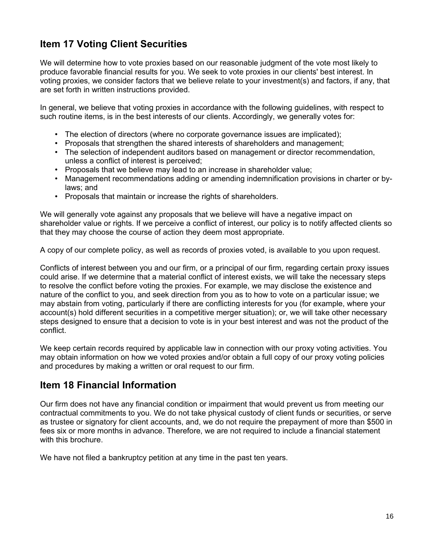## **Item 17 Voting Client Securities**

We will determine how to vote proxies based on our reasonable judgment of the vote most likely to produce favorable financial results for you. We seek to vote proxies in our clients' best interest. In voting proxies, we consider factors that we believe relate to your investment(s) and factors, if any, that are set forth in written instructions provided.

In general, we believe that voting proxies in accordance with the following guidelines, with respect to such routine items, is in the best interests of our clients. Accordingly, we generally votes for:

- The election of directors (where no corporate governance issues are implicated);
- Proposals that strengthen the shared interests of shareholders and management;
- The selection of independent auditors based on management or director recommendation, unless a conflict of interest is perceived;
- Proposals that we believe may lead to an increase in shareholder value;
- Management recommendations adding or amending indemnification provisions in charter or bylaws; and
- Proposals that maintain or increase the rights of shareholders.

We will generally vote against any proposals that we believe will have a negative impact on shareholder value or rights. If we perceive a conflict of interest, our policy is to notify affected clients so that they may choose the course of action they deem most appropriate.

A copy of our complete policy, as well as records of proxies voted, is available to you upon request.

Conflicts of interest between you and our firm, or a principal of our firm, regarding certain proxy issues could arise. If we determine that a material conflict of interest exists, we will take the necessary steps to resolve the conflict before voting the proxies. For example, we may disclose the existence and nature of the conflict to you, and seek direction from you as to how to vote on a particular issue; we may abstain from voting, particularly if there are conflicting interests for you (for example, where your account(s) hold different securities in a competitive merger situation); or, we will take other necessary steps designed to ensure that a decision to vote is in your best interest and was not the product of the conflict.

We keep certain records required by applicable law in connection with our proxy voting activities. You may obtain information on how we voted proxies and/or obtain a full copy of our proxy voting policies and procedures by making a written or oral request to our firm.

### **Item 18 Financial Information**

Our firm does not have any financial condition or impairment that would prevent us from meeting our contractual commitments to you. We do not take physical custody of client funds or securities, or serve as trustee or signatory for client accounts, and, we do not require the prepayment of more than \$500 in fees six or more months in advance. Therefore, we are not required to include a financial statement with this brochure.

We have not filed a bankruptcy petition at any time in the past ten years.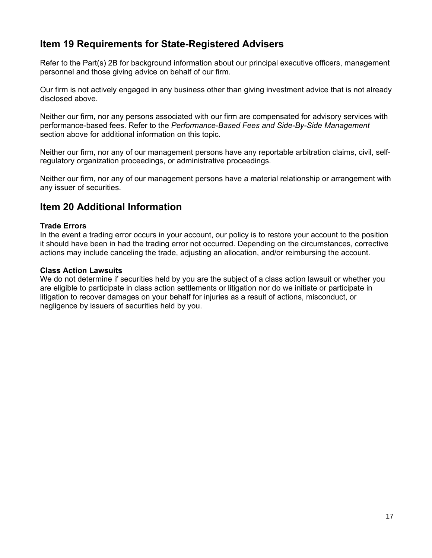## **Item 19 Requirements for State-Registered Advisers**

Refer to the Part(s) 2B for background information about our principal executive officers, management personnel and those giving advice on behalf of our firm.

Our firm is not actively engaged in any business other than giving investment advice that is not already disclosed above.

Neither our firm, nor any persons associated with our firm are compensated for advisory services with performance-based fees. Refer to the *Performance-Based Fees and Side-By-Side Management* section above for additional information on this topic.

Neither our firm, nor any of our management persons have any reportable arbitration claims, civil, selfregulatory organization proceedings, or administrative proceedings.

Neither our firm, nor any of our management persons have a material relationship or arrangement with any issuer of securities.

### **Item 20 Additional Information**

#### **Trade Errors**

In the event a trading error occurs in your account, our policy is to restore your account to the position it should have been in had the trading error not occurred. Depending on the circumstances, corrective actions may include canceling the trade, adjusting an allocation, and/or reimbursing the account.

#### **Class Action Lawsuits**

We do not determine if securities held by you are the subject of a class action lawsuit or whether you are eligible to participate in class action settlements or litigation nor do we initiate or participate in litigation to recover damages on your behalf for injuries as a result of actions, misconduct, or negligence by issuers of securities held by you.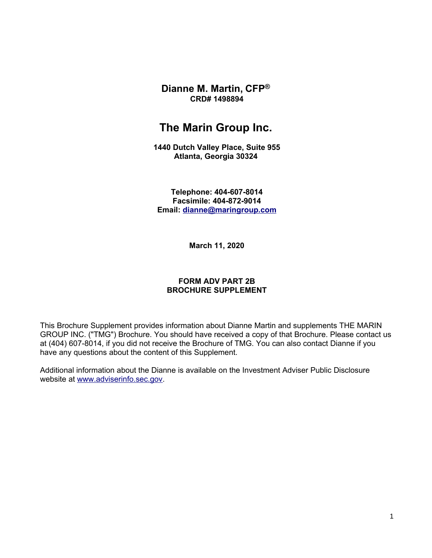**Dianne M. Martin, CFP® CRD# 1498894**

## **The Marin Group Inc.**

**1440 Dutch Valley Place, Suite 955 Atlanta, Georgia 30324** 

**Telephone: 404-607-8014 Facsimile: 404-872-9014 Email: [dianne@maringroup.com](mailto:dianne@maringroup.com)**

**March 11, 2020**

#### **FORM ADV PART 2B BROCHURE SUPPLEMENT**

This Brochure Supplement provides information about Dianne Martin and supplements THE MARIN GROUP INC. ("TMG") Brochure. You should have received a copy of that Brochure. Please contact us at (404) 607-8014, if you did not receive the Brochure of TMG. You can also contact Dianne if you have any questions about the content of this Supplement.

Additional information about the Dianne is available on the Investment Adviser Public Disclosure website at [www.adviserinfo.sec.gov.](http://www.adviserinfo.sec.gov/)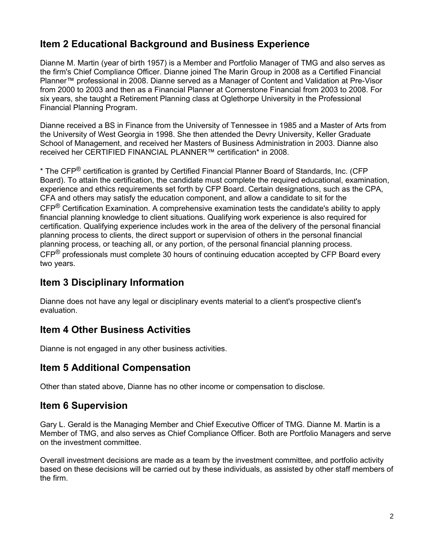## **Item 2 Educational Background and Business Experience**

Dianne M. Martin (year of birth 1957) is a Member and Portfolio Manager of TMG and also serves as the firm's Chief Compliance Officer. Dianne joined The Marin Group in 2008 as a Certified Financial Planner™ professional in 2008. Dianne served as a Manager of Content and Validation at Pre-Visor from 2000 to 2003 and then as a Financial Planner at Cornerstone Financial from 2003 to 2008. For six years, she taught a Retirement Planning class at Oglethorpe University in the Professional Financial Planning Program.

Dianne received a BS in Finance from the University of Tennessee in 1985 and a Master of Arts from the University of West Georgia in 1998. She then attended the Devry University, Keller Graduate School of Management, and received her Masters of Business Administration in 2003. Dianne also received her CERTIFIED FINANCIAL PLANNER™ certification\* in 2008.

\* The CFP® certification is granted by Certified Financial Planner Board of Standards, Inc. (CFP Board). To attain the certification, the candidate must complete the required educational, examination, experience and ethics requirements set forth by CFP Board. Certain designations, such as the CPA, CFA and others may satisfy the education component, and allow a candidate to sit for the CFP® Certification Examination. A comprehensive examination tests the candidate's ability to apply financial planning knowledge to client situations. Qualifying work experience is also required for certification. Qualifying experience includes work in the area of the delivery of the personal financial planning process to clients, the direct support or supervision of others in the personal financial planning process, or teaching all, or any portion, of the personal financial planning process.  $CFP^®$  professionals must complete 30 hours of continuing education accepted by CFP Board every two years.

## **Item 3 Disciplinary Information**

Dianne does not have any legal or disciplinary events material to a client's prospective client's evaluation.

## **Item 4 Other Business Activities**

Dianne is not engaged in any other business activities.

## **Item 5 Additional Compensation**

Other than stated above, Dianne has no other income or compensation to disclose.

## **Item 6 Supervision**

Gary L. Gerald is the Managing Member and Chief Executive Officer of TMG. Dianne M. Martin is a Member of TMG, and also serves as Chief Compliance Officer. Both are Portfolio Managers and serve on the investment committee.

Overall investment decisions are made as a team by the investment committee, and portfolio activity based on these decisions will be carried out by these individuals, as assisted by other staff members of the firm.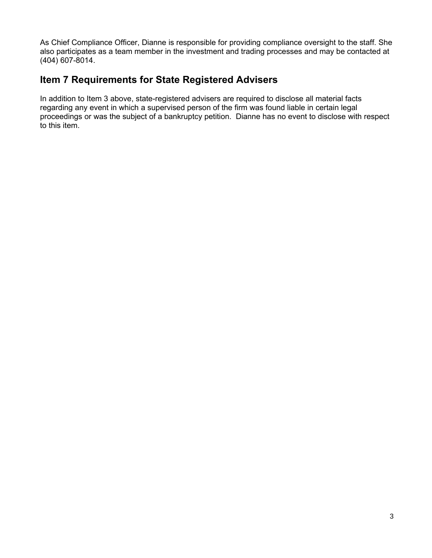As Chief Compliance Officer, Dianne is responsible for providing compliance oversight to the staff. She also participates as a team member in the investment and trading processes and may be contacted at (404) 607-8014.

### **Item 7 Requirements for State Registered Advisers**

In addition to Item 3 above, state-registered advisers are required to disclose all material facts regarding any event in which a supervised person of the firm was found liable in certain legal proceedings or was the subject of a bankruptcy petition. Dianne has no event to disclose with respect to this item.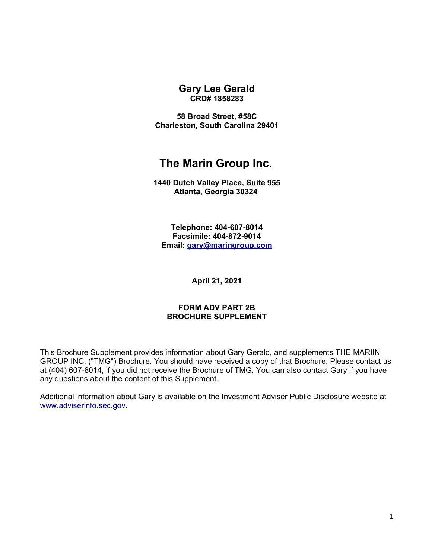**Gary Lee Gerald CRD# 1858283**

**58 Broad Street, #58C Charleston, South Carolina 29401**

# **The Marin Group Inc.**

**1440 Dutch Valley Place, Suite 955 Atlanta, Georgia 30324** 

**Telephone: 404-607-8014 Facsimile: 404-872-9014 Email: [gary@maringroup.com](mailto:gary@maringroup.com)**

**April 21, 2021**

#### **FORM ADV PART 2B BROCHURE SUPPLEMENT**

This Brochure Supplement provides information about Gary Gerald, and supplements THE MARIIN GROUP INC. ("TMG") Brochure. You should have received a copy of that Brochure. Please contact us at (404) 607-8014, if you did not receive the Brochure of TMG. You can also contact Gary if you have any questions about the content of this Supplement.

Additional information about Gary is available on the Investment Adviser Public Disclosure website at [www.adviserinfo.sec.gov.](http://www.adviserinfo.sec.gov/)